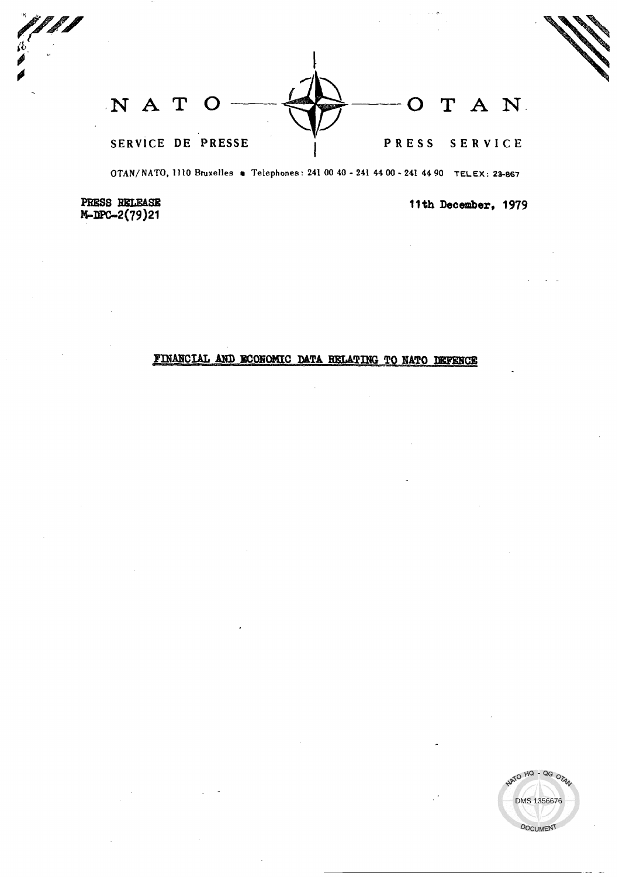NAT A N. T SERVICE DE PRESSE PRESS SERVICE

OTAN/NATO, 1110 Bruxelles . Telephones: 241 00 40 - 241 44 00 - 241 44 90 TELEX: 23-867

PRESS RELEASE M-DPC-2(79)21

11th December, 1979

## FINANCIAL AND ECONOMIC DATA RELATING TO NATO DEFENCE

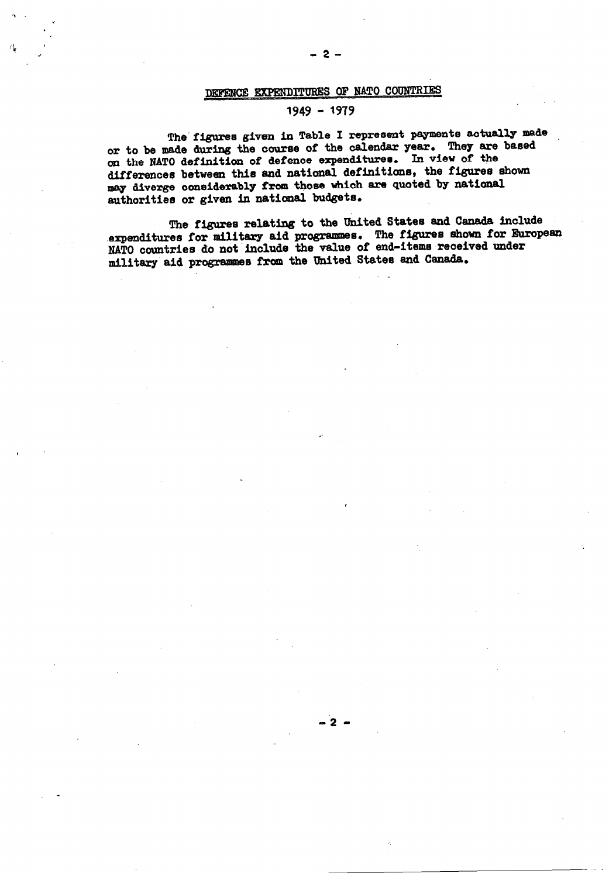# DEFENCE EXPENDITURES OF NATO COUNTRIES

### $1949 - 1979$

The figures given in Table I represent payments actually made or to be made during the course of the calendar year. They are based on the NATO definition of defence expenditures. In view of the differences between this and national definitions, the figures shown may diverge considerably from those which are quoted by national authorities or given in national budgets.

The figures relating to the United States and Canada include expenditures for military aid programmes. The figures shown for European NATO countries do not include the value of end-items received under military aid programmes from the United States and Canada.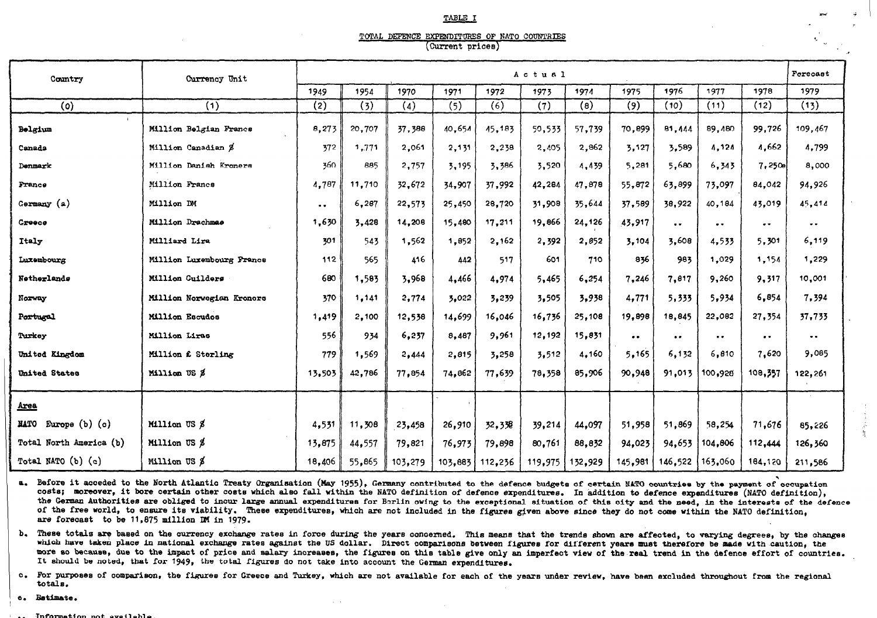#### TABLE I

### TOTAL DEFENCE EXPENDITURES OF NATO COUNTRIES (Current prices)

| Country                           | Currency Unit             | Actual        |        |         |         |         |         |         |                     |                     |                     |                     | Forecast            |
|-----------------------------------|---------------------------|---------------|--------|---------|---------|---------|---------|---------|---------------------|---------------------|---------------------|---------------------|---------------------|
|                                   |                           | 1949          | 1954   | 1970    | 1971    | 1972    | 1973    | 1974    | 1975                | 1976                | 1977                | 1978                | 1979                |
| (o)                               | (1)                       | (2)           | (3)    | (4)     | (5)     | (6)     | (7)     | (8)     | (9)                 | (10)                | (11)                | (12)                | (13)                |
| Belgium                           | Million Belgian Francs    | 8,273         | 20,707 | 37,388  | 40,654  | 45,183  | 50,533  | 57,739  | 70,899              | 81.444              | 89,480              | 99.726              | 109.467             |
| Canada                            | Million Canadian \$       | 372           | 1,771  | 2,061   | 2,131   | 2,238   | 2,405   | 2,862   | 3,127               | 3,589               | 4.124               | 4,662               | 4,799               |
| Denmark                           | Million Danish Kroners    | 360           | 885    | 2,757   | 3,195   | 3,386   | 3,520   | 4.439   | 5,281               | 5,680               | 6,343               | 7,250a              | 8,000               |
| France                            | Million Francs            | 4,787         | 11,710 | 32,672  | 34,907  | 37,992  | 42,284  | 47,878  | 55,872              | 63,899              | 73,097              | 84,042              | 94,926              |
| Germany (a)                       | Million DM                | $\sim$ $\sim$ | 6,287  | 22.573  | 25,450  | 28,720  | 31,908  | 35,644  | 37.589              | 38,922              | 40.184              | 43,019              | 45,414              |
| Greece                            | Million Drachmae          | 1,630         | 3,428  | 14,208  | 15,480  | 17,211  | 19,866  | 24,126  | 43,917              | $\bullet$ $\bullet$ | $\bullet$ $\bullet$ | $\bullet$ $\bullet$ | $\bullet$ $\bullet$ |
| Italy                             | Milliard Lira             | 301           | 543    | 1,562   | 1,852   | 2,162   | 2,392   | 2,852   | 3,104               | 3,608               | 4,533               | 5,301               | 6,119               |
| Luxembourg                        | Million Luxembourg Francs | 112           | 565    | 416     | 442     | 517     | 601     | 710     | 836                 | 983                 | 1,029               | 1,154               | 1,229               |
| Netherlands                       | Million Cuilders          | 680           | 1,583  | 3,968   | 4,466   | 4,974   | 5,465   | 6,254   | 7,246               | 7,817               | 9,260               | 9,317               | 10,001              |
| Norway                            | Million Norwegian Kroners | 370           | 1,141  | 2,774   | 3,022   | 3,239   | 3,505   | 3,938   | 4,771               | 5,333               | 5,934               | 6,854               | 7,394               |
| Portugal                          | <b>Milion Escudos</b>     | 1,419         | 2,100  | 12,538  | 14,699  | 16,046  | 16,736  | 25,108  | 19,898              | 18,845              | 22,082              | 27,354              | 37,733              |
| Turkey                            | Million Liras             | 556           | 934    | 6,237   | 8,487   | 9,961   | 12,192  | 15,831  | $\bullet$ $\bullet$ | $\bullet$           | $\bullet$ $\bullet$ | $\bullet$ $\bullet$ | $\bullet$ $\bullet$ |
| United Kingdom                    | Million £ Sterling        | 779           | 1,569  | 2,444   | 2,815   | 3,258   | 3,512   | 4,160   | 5,165               | 6,132               | 6.810               | 7,620               | 9,085               |
| <b>United States</b>              | Millian US &              | 13,503        | 42,786 | 77,854  | 74,862  | 77,639  | 78,358  | 85,906  | 90,948              |                     | $91,013$ 100,928    | 108,357             | 122,261             |
| <u>Area</u>                       |                           |               |        |         |         |         |         |         |                     |                     |                     |                     |                     |
| Europe $(b)$ $(c)$<br><b>MATO</b> | Million US &              | 4,531         | 11,308 | 23,458  | 26,910  | 32,338  | 39,214  | 44,097  | 51,958              | 51,869              | 58,254              | 71,676              | 85,226              |
| Total North America (b)           | Million US \$             | 13,875        | 44,557 | 79,821  | 76,973  | 79,898  | 80,761  | 88,832  | 94,023              | 94,653              | 104,806             | 112,444             | 126,360             |
| Total NATO (b) (c)                | Million US \$             | 18,406        | 55,865 | 103,279 | 103,883 | 112,236 | 119,975 | 132,929 | 145,981             | 146,522             | 163,060             | 184,120             | 211,586             |

a. Before it acceded to the North Atlantic Treaty Organisation (May 1955), Germany contributed to the defence budgets of certain NATO countries by the payment of occupation costs; moreover, it bore certain other costs which also fall within the NATO definition of defence expenditures. In addition to defence expenditures (NATO definition), the German Authorities are obliged to incur large annual expenditures for Berlin owing to the exceptional situation of this oity and the need, in the interests of the defence of the free world, to ensure its viability. These expenditures, which are not included in the figures given above since they do not come within the NATO definition, are forecast to be 11,875 million DM in 1979.

b. These totals are based on the currency exchange rates in force during the years concerned. This means that the trends shown are affected, to varying degrees, by the changes which have taken place in national exchange rates against the US dollar. Direct comparisons between figures for different years must therefore be made with caution, the more so because, due to the impact of price and salary increases, the figures on this table give only an imperfect view of the real trend in the defence effort of countries. It should be noted, that for 1949, the total figures do not take into account the German expenditures.

o. For purposes of comparison, the figures for Greece and Turkey, which are not available for each of the years under review, have been excluded throughout from the regional totals.

e. Estimate.

Information not available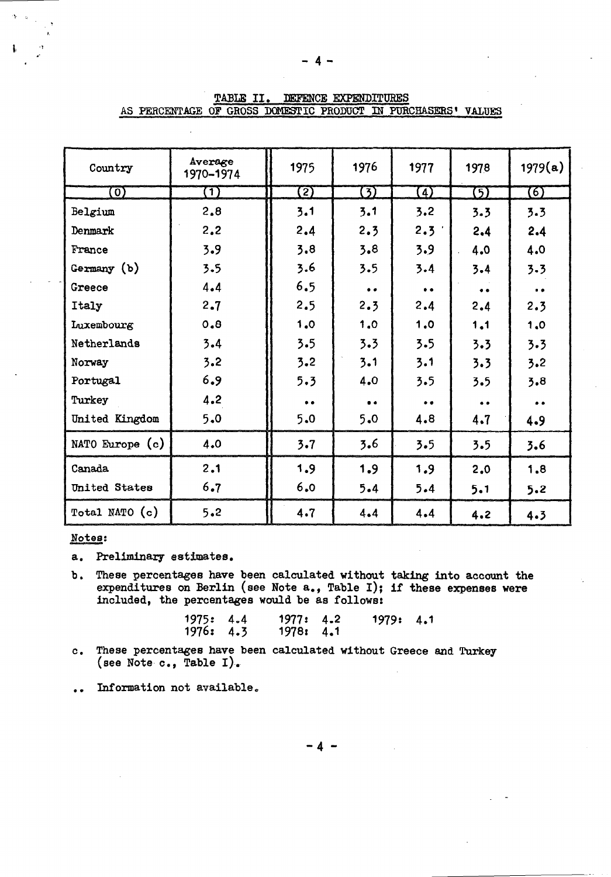| Country           | Average<br>1970-1974 | 1975                | 1976      | 1977              | 1978      | 1979(a)           |
|-------------------|----------------------|---------------------|-----------|-------------------|-----------|-------------------|
| $\left( 0\right)$ | (T)                  | $\mathbf{Z}$        | 3)        | $\left( 4\right)$ | (5)       | $\left( 6\right)$ |
| Belgium           | 2,8                  | 3.1                 | 3.1       | 3.2               | 3.3       | 3.3               |
| Denmark           | 2,2                  | 2.4                 | 2.3       | 2.3'              | 2.4       | 2.4               |
| France            | 3.9                  | 3.8                 | 3.8       | 3.9               | 4.0       | 4.0               |
| Germany (b)       | 3.5                  | 3.6                 | 3.5       | 3.4               | 3.4       | 3.3               |
| Greece            | 4.4                  | 6.5                 | $\bullet$ | $\bullet$         | $\bullet$ | $\bullet$         |
| Italy             | 2.7                  | 2.5                 | 2.3       | 2.4               | 2.4       | 2.3               |
| Luxembourg        | 0.8                  | 1.0                 | 1.0       | 1.0               | 1.1       | 1.0               |
| Netherlands       | 3.4                  | 3.5                 | 3.3       | 3.5               | 3.3       | 3.3               |
| Norway            | 3.2                  | 3.2                 | 3.1       | 3.1               | 3.3       | 3.2               |
| Portugal          | 6.9                  | 5.3                 | 4.0       | 3.5               | 3.5       | 3.8               |
| Turkey            | 4.2                  | $\bullet$ $\bullet$ | $\bullet$ | $\bullet$         | $\bullet$ | $\bullet$         |
| United Kingdom    | 5.0                  | 5.0                 | 5.0       | 4.8               | 4.7       | 4.9               |
| NATO Europe (c)   | 4.0                  | 3.7                 | 3.6       | 3.5               | 3.5       | 3.6               |
| Canada            | 2.1                  | 1.9                 | 1.9       | 1.9               | 2.0       | 1.8               |
| United States     | 6.7                  | 6.0                 | 5.4       | 5.4               | 5.1       | 5.2               |
| Total NATO (c)    | 5.2                  | 4.7                 | 4.4       | 4.4               | 4.2       | 4.3               |

|  | TABLE II. | asis de mais de l'automobile de la communistat de la communicació de la commune de la communicació de la communicació | DEFENCE EXPENDITURES |                                                               |  |
|--|-----------|-----------------------------------------------------------------------------------------------------------------------|----------------------|---------------------------------------------------------------|--|
|  |           |                                                                                                                       |                      | AS PERCENTAGE OF GROSS DOMESTIC PRODUCT IN PURCHASERS' VALUES |  |

## Notes:

a. Preliminary estimates.

b. These percentages have been calculated without taking into account the expenditures on Berlin (see Note a., Table I); if these expenses were included, the percentages would be as follows:

| 1975: 4.4 | 1977: 4.2 | 1979: 4.1 |  |
|-----------|-----------|-----------|--|
| 1976: 4.3 | 1978: 4.1 |           |  |

- c. These percentages have been calculated without Greece and Turkey (see Note c., Table I)-.
- . . Information not available,

-4 -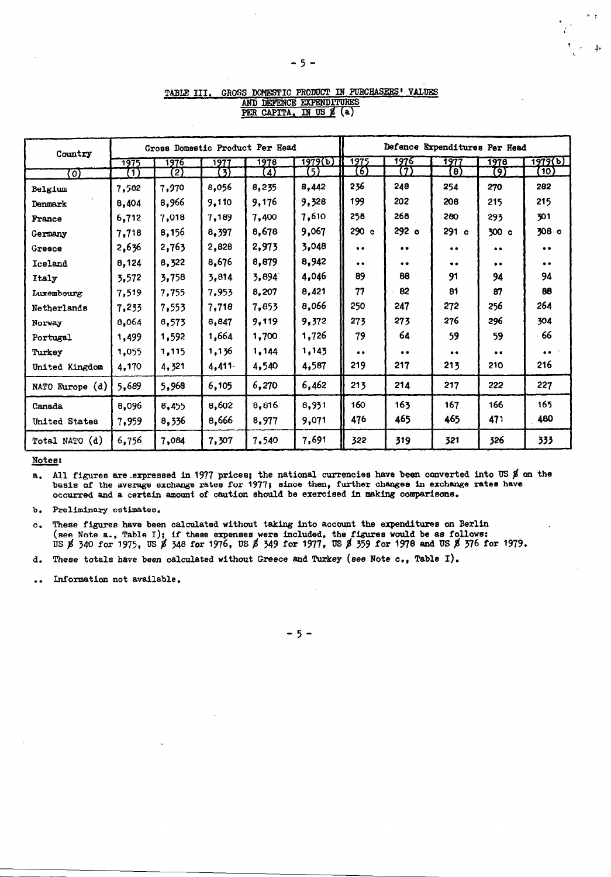| Country         |              |       |       | Gross Domestic Product Per Head |         | Defence Expenditures Per Head |                  |           |           |           |  |
|-----------------|--------------|-------|-------|---------------------------------|---------|-------------------------------|------------------|-----------|-----------|-----------|--|
|                 | 1975         | 1976  | 1977  | 1978                            | 1979(b) | 1975                          | 1976             | 1977      | 1976      | 1979(b)   |  |
| ा)              | $\mathbf{1}$ | 2)    | 3     | 4                               | (5)     | (6)                           | 7                | [8        | (9        | (10)      |  |
| Belgium         | 7,582        | 7,970 | 8,056 | 8,235                           | 8,442   | 236                           | 248              | 254       | 270       | 282       |  |
| Denmark         | 8,404        | 8,966 | 9,110 | 9,176                           | 9,328   | 199                           | 202              | 208       | 215       | 215       |  |
| France          | 6,712        | 7,018 | 7,189 | 7,400                           | 7,610   | 258                           | 268              | 280       | 293       | 301       |  |
| Germany         | 7,718        | 8,156 | 8,397 | 8,678                           | 9,067   | 290c                          | 292 <sub>o</sub> | 291 c     | 300 c     | 308 c     |  |
| Greece          | 2,636        | 2,763 | 2,828 | 2,973                           | 3,048   | $\bullet$                     | $\bullet$        | $\bullet$ |           | $\bullet$ |  |
| Iceland         | 8,124        | 8,322 | 8,676 | 8,879                           | 8,942   | $\bullet$                     | $\bullet$        | $\bullet$ | $\bullet$ | $\bullet$ |  |
| Italy           | 3,572        | 3,758 | 3,814 | 3,894                           | 4,046   | 89                            | 88               | 91        | 94        | 94        |  |
| Luxembourg      | 7,519        | 7,755 | 7,953 | 8,207                           | 8,421   | 77                            | 82               | 81        | 87        | 88        |  |
| Netherlands     | 7,233        | 7,553 | 7,718 | 7,853                           | 8,066   | 250                           | 247              | 272       | 256       | 264       |  |
| Norway          | 8,064        | 8,573 | 8,847 | 9,119                           | 9,372   | 273                           | 273              | 276       | 296       | 304       |  |
| Portugal        | 1,499        | 1,592 | 1,664 | 1,700                           | 1,726   | 79                            | 64               | 59        | 59        | 66        |  |
| Turkey          | 1,055        | 1,115 | 1,136 | 1,144                           | 1,143   | $\bullet$                     | $\bullet$        | $\bullet$ | $\bullet$ | $\bullet$ |  |
| United Kingdom  | 4,170        | 4,321 | 4,411 | 4,540                           | 4,587   | 219                           | 217              | 213       | 210       | 216       |  |
| NATO Europe (d) | 5,689        | 5,968 | 6,105 | 6,270                           | 6,462   | 213                           | 214              | 217       | 222       | 227       |  |
| Canada          | 8,096        | 8,455 | 8,602 | 8,816                           | 8,931   | 160                           | 16 <sub>3</sub>  | 167       | 166       | 165       |  |
| United States   | 7,959        | 8,336 | 8,666 | 8,977                           | 9,071   | 476                           | 465              | 465       | 471       | 480       |  |
| Total NATO (d)  | 6,756        | 7,084 | 7,307 | 7,540                           | 7,691   | 322                           | 319              | 321       | 326       | 333       |  |

#### GROSS DOMESTIC PRODUCT IN PURCHASERS' VALUES TABLE III. AND DEFENCE EXPENDITURES PER CAPITA, IN US 2 (a)

Notes:

a. All figures are expressed in 1977 prices; the national currencies have been converted into US  $\beta$  on the basis of the average exchange rates for 1977; since then, further changes in exchange rates have occurred and a certain amount of caution should be exercised in making comparisons.

b. Preliminary estimates.

These figures have been calculated without taking into account the expenditures on Berlin  $\mathbf{c}$  . (see Note a., Table I); if these expenses were included, the figures would be as follows:<br>US  $\beta$  340 for 1975, US  $\beta$  348 for 1976, US  $\beta$  349 for 1977, US  $\beta$  359 for 1978 and US  $\beta$  376 for 1979.

These totals have been calculated without Greece and Turkey (see Note c., Table I). d.

Information not available.  $\bullet$ 

 $-5-$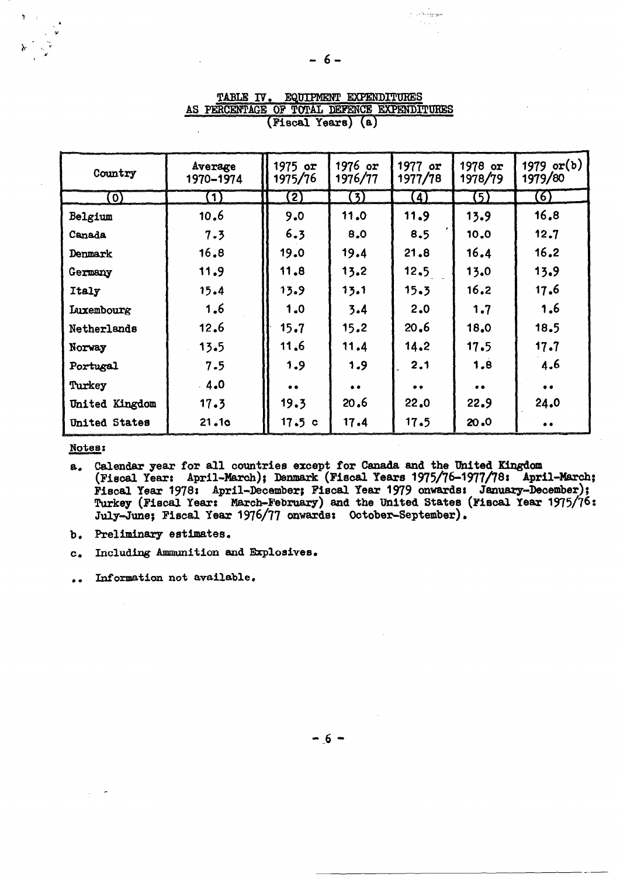| Country        | Average<br>1970-1974 | $1975$ or<br>1975/76 | $1976$ or<br>1976/77 | 1977 $or$<br>1977/78 | 1978 or<br>1978/79  | 1979 or $(b)$<br>1979/80 |
|----------------|----------------------|----------------------|----------------------|----------------------|---------------------|--------------------------|
| $\mathbf{O}$   | $\bf(1)$             | $\bf{2)}$            | (3)                  | $\left( 4\right)$    | (5)                 | 6)                       |
| Belgium        | 10.6                 | 9.0                  | 11.0                 | 11.9                 | 13.9                | 16,8                     |
| Canada         | 7.3                  | 6.3                  | 8.0                  | 8.5                  | 10.0                | 12.7                     |
| Denmark        | 16.8                 | 19.0                 | 19.4                 | 21.8                 | 16.4                | 16.2                     |
| Germany        | 11.9                 | 11.8                 | 13.2                 | 12.5                 | 13.0                | 13.9                     |
| Italy          | 15.4                 | 13.9                 | 13.1                 | 15.3                 | 16.2                | 17.6                     |
| Luxembourg     | 1.6                  | 1.0                  | 3.4                  | 2.0                  | 1.7                 | 1.6                      |
| Netherlands    | 12.6                 | 15.7                 | 15.2                 | 20.6                 | 18.0                | 18.5                     |
| Norway         | 13.5                 | 11.6                 | 11.4                 | 14.2                 | 17.5                | 17.7                     |
| Portugal       | 7.5                  | 1.9                  | 1.9                  | 2.1                  | 1.8                 | 4.6                      |
| Turkey         | $-4.0$               | $\bullet$            | $\bullet\bullet$     | $\bullet$ $\bullet$  | $\bullet$ $\bullet$ | $\bullet$                |
| United Kingdom | 17.3                 | 19.3                 | 20.6                 | 22.0                 | 22.9                | 24.0                     |
| United States  | 21.10                | 17.5c                | 17.4                 | 17.5                 | 20.0                | $\bullet$                |

TABLE IV. EQUIPMENT EXPENDITURES AS PERCENTAGE OF TOTAL DEFENCE EXPENDITURES (Fiscal Years) (a)

## Notes:

- Calendar year for all countries except for Canada and the United Kingdom<br>(Fiscal Year: April-March); Denmark (Fiscal Years 1975/76-1977/78: April-March; a. Fiscal Year 1978: April-December; Fiscal Year 1979 onwards: January-December); Turkey (Fiscal Year: March-February) and the United States (Fiscal Year 1975/76:<br>July-June; Fiscal Year 1976/77 onwards: October-September).
- b. Preliminary estimates.
- Including Ammunition and Explosives.  $c_{\bullet}$

Information not available.  $\bullet$ 

مروايي فالرادة

 $-6 -$